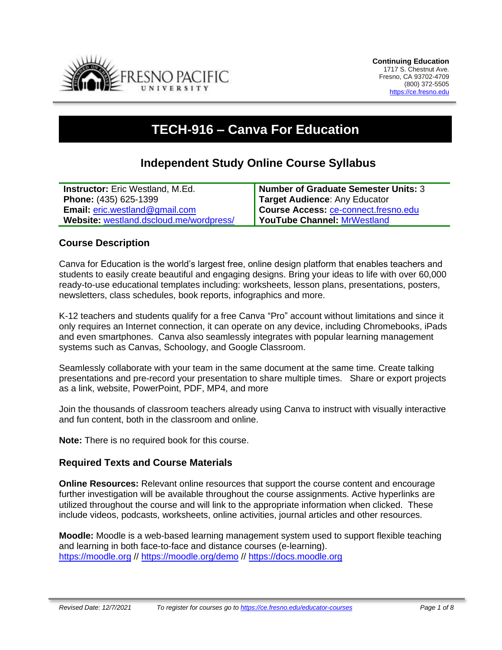

# **TECH-916 – Canva For Education**

# **Independent Study Online Course Syllabus**

| <b>Instructor:</b> Eric Westland, M.Ed. | <b>Number of Graduate Semester Units: 3</b> |
|-----------------------------------------|---------------------------------------------|
| <b>Phone: (435) 625-1399</b>            | Target Audience: Any Educator               |
| <b>Email:</b> $eric.westland@gmail.com$ | Course Access: ce-connect.fresno.edu        |
| Website: westland.dscloud.me/wordpress/ | YouTube Channel: MrWestland                 |

#### **Course Description**

Canva for Education is the world's largest free, online design platform that enables teachers and students to easily create beautiful and engaging designs. Bring your ideas to life with over 60,000 ready-to-use educational templates including: worksheets, lesson plans, presentations, posters, newsletters, class schedules, book reports, infographics and more.

K-12 teachers and students qualify for a free Canva "Pro" account without limitations and since it only requires an Internet connection, it can operate on any device, including Chromebooks, iPads and even smartphones. Canva also seamlessly integrates with popular learning management systems such as Canvas, Schoology, and Google Classroom.

Seamlessly collaborate with your team in the same document at the same time. Create talking presentations and pre-record your presentation to share multiple times. Share or export projects as a link, website, PowerPoint, PDF, MP4, and more

Join the thousands of classroom teachers already using Canva to instruct with visually interactive and fun content, both in the classroom and online.

**Note:** There is no required book for this course.

#### **Required Texts and Course Materials**

**Online Resources:** Relevant online resources that support the course content and encourage further investigation will be available throughout the course assignments. Active hyperlinks are utilized throughout the course and will link to the appropriate information when clicked. These include videos, podcasts, worksheets, online activities, journal articles and other resources.

**Moodle:** Moodle is a web-based learning management system used to support flexible teaching and learning in both face-to-face and distance courses (e-learning). [https://moodle.org](https://moodle.org/) // <https://moodle.org/demo> // [https://docs.moodle.org](https://docs.moodle.org/)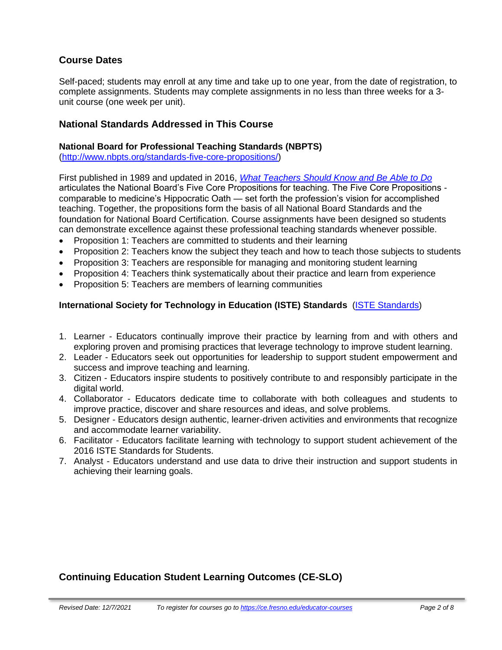## **Course Dates**

Self-paced; students may enroll at any time and take up to one year, from the date of registration, to complete assignments. Students may complete assignments in no less than three weeks for a 3 unit course (one week per unit).

#### **National Standards Addressed in This Course**

#### **National Board for Professional Teaching Standards (NBPTS)**

[\(http://www.nbpts.org/standards-five-core-propositions/\)](http://www.nbpts.org/standards-five-core-propositions/)

First published in 1989 and updated in 2016, *[What Teachers Should Know and Be Able to Do](http://www.accomplishedteacher.org/)* articulates the National Board's Five Core Propositions for teaching. The Five Core Propositions comparable to medicine's Hippocratic Oath — set forth the profession's vision for accomplished teaching. Together, the propositions form the basis of all National Board Standards and the foundation for National Board Certification. Course assignments have been designed so students can demonstrate excellence against these professional teaching standards whenever possible.

- Proposition 1: Teachers are committed to students and their learning
- Proposition 2: Teachers know the subject they teach and how to teach those subjects to students
- Proposition 3: Teachers are responsible for managing and monitoring student learning
- Proposition 4: Teachers think systematically about their practice and learn from experience
- Proposition 5: Teachers are members of learning communities

#### **International Society for Technology in Education (ISTE) Standards** [\(ISTE Standards\)](https://www.iste.org/standards/iste-standards-for-teachers)

- 1. Learner Educators continually improve their practice by learning from and with others and exploring proven and promising practices that leverage technology to improve student learning.
- 2. Leader Educators seek out opportunities for leadership to support student empowerment and success and improve teaching and learning.
- 3. Citizen Educators inspire students to positively contribute to and responsibly participate in the digital world.
- 4. Collaborator Educators dedicate time to collaborate with both colleagues and students to improve practice, discover and share resources and ideas, and solve problems.
- 5. Designer Educators design authentic, learner-driven activities and environments that recognize and accommodate learner variability.
- 6. Facilitator Educators facilitate learning with technology to support student achievement of the 2016 ISTE Standards for Students.
- 7. Analyst Educators understand and use data to drive their instruction and support students in achieving their learning goals.

#### **Continuing Education Student Learning Outcomes (CE-SLO)**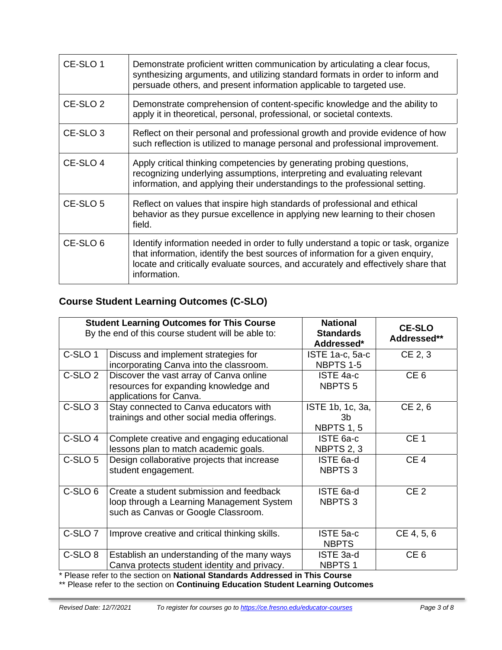| CE-SLO 1            | Demonstrate proficient written communication by articulating a clear focus,<br>synthesizing arguments, and utilizing standard formats in order to inform and<br>persuade others, and present information applicable to targeted use.                                       |
|---------------------|----------------------------------------------------------------------------------------------------------------------------------------------------------------------------------------------------------------------------------------------------------------------------|
| CE-SLO <sub>2</sub> | Demonstrate comprehension of content-specific knowledge and the ability to<br>apply it in theoretical, personal, professional, or societal contexts.                                                                                                                       |
| CE-SLO <sub>3</sub> | Reflect on their personal and professional growth and provide evidence of how<br>such reflection is utilized to manage personal and professional improvement.                                                                                                              |
| CE-SLO 4            | Apply critical thinking competencies by generating probing questions,<br>recognizing underlying assumptions, interpreting and evaluating relevant<br>information, and applying their understandings to the professional setting.                                           |
| CE-SLO 5            | Reflect on values that inspire high standards of professional and ethical<br>behavior as they pursue excellence in applying new learning to their chosen<br>field.                                                                                                         |
| CE-SLO 6            | Identify information needed in order to fully understand a topic or task, organize<br>that information, identify the best sources of information for a given enquiry,<br>locate and critically evaluate sources, and accurately and effectively share that<br>information. |

# **Course Student Learning Outcomes (C-SLO)**

| <b>Student Learning Outcomes for This Course</b><br>By the end of this course student will be able to: |                                                                                                                                             | <b>National</b><br><b>Standards</b><br>Addressed* | <b>CE-SLO</b><br>Addressed** |
|--------------------------------------------------------------------------------------------------------|---------------------------------------------------------------------------------------------------------------------------------------------|---------------------------------------------------|------------------------------|
| C-SLO <sub>1</sub>                                                                                     | Discuss and implement strategies for<br>incorporating Canva into the classroom.                                                             | ISTE 1a-c, 5a-c<br>NBPTS 1-5                      | CE 2, 3                      |
| C-SLO <sub>2</sub>                                                                                     | Discover the vast array of Canva online<br>resources for expanding knowledge and<br>applications for Canva.                                 | ISTE 4a-c<br>NBPTS <sub>5</sub>                   | CE <sub>6</sub>              |
| C-SLO <sub>3</sub>                                                                                     | Stay connected to Canva educators with<br>trainings and other social media offerings.                                                       | ISTE 1b, 1c, 3a,<br>3b<br>NBPTS 1, 5              | CE 2, 6                      |
| C-SLO 4                                                                                                | Complete creative and engaging educational<br>lessons plan to match academic goals.                                                         | ISTE 6a-c<br>NBPTS 2, 3                           | CE <sub>1</sub>              |
| C-SLO 5                                                                                                | Design collaborative projects that increase<br>student engagement.                                                                          | ISTE 6a-d<br>NBPTS 3                              | CE <sub>4</sub>              |
| C-SLO <sub>6</sub>                                                                                     | Create a student submission and feedback<br>loop through a Learning Management System<br>such as Canvas or Google Classroom.                | ISTE 6a-d<br>NBPTS 3                              | CE <sub>2</sub>              |
| C-SLO <sub>7</sub>                                                                                     | Improve creative and critical thinking skills.                                                                                              | ISTE 5a-c<br><b>NBPTS</b>                         | CE 4, 5, 6                   |
| C-SLO <sub>8</sub><br>$\sim$                                                                           | Establish an understanding of the many ways<br>Canva protects student identity and privacy.<br>$\sim$ $\sim$<br>$\sim$ $\sim$ $\sim$ $\sim$ | ISTE 3a-d<br><b>NBPTS1</b>                        | CE <sub>6</sub>              |

\* Please refer to the section on **National Standards Addressed in This Course**

\*\* Please refer to the section on **Continuing Education Student Learning Outcomes**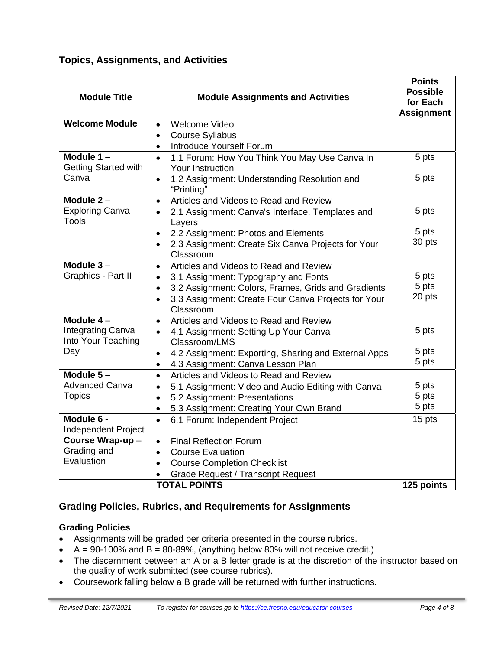## **Topics, Assignments, and Activities**

| <b>Module Title</b>                    | <b>Module Assignments and Activities</b>                                      | <b>Points</b><br><b>Possible</b><br>for Each<br><b>Assignment</b> |
|----------------------------------------|-------------------------------------------------------------------------------|-------------------------------------------------------------------|
| <b>Welcome Module</b>                  | Welcome Video<br>$\bullet$                                                    |                                                                   |
|                                        | <b>Course Syllabus</b><br>$\bullet$                                           |                                                                   |
|                                        | Introduce Yourself Forum<br>$\bullet$                                         |                                                                   |
| Module $1 -$                           | 1.1 Forum: How You Think You May Use Canva In<br>$\bullet$                    | 5 pts                                                             |
| <b>Getting Started with</b>            | Your Instruction                                                              |                                                                   |
| Canva                                  | 1.2 Assignment: Understanding Resolution and<br>$\bullet$<br>"Printing"       | 5 pts                                                             |
| Module $2 -$                           | Articles and Videos to Read and Review<br>$\bullet$                           |                                                                   |
| <b>Exploring Canva</b>                 | 2.1 Assignment: Canva's Interface, Templates and<br>$\bullet$                 | 5 pts                                                             |
| <b>Tools</b>                           | Layers                                                                        |                                                                   |
|                                        | 2.2 Assignment: Photos and Elements<br>$\bullet$                              | 5 pts                                                             |
|                                        | 2.3 Assignment: Create Six Canva Projects for Your<br>$\bullet$<br>Classroom  | 30 pts                                                            |
| Module $3 -$                           | Articles and Videos to Read and Review<br>$\bullet$                           |                                                                   |
| Graphics - Part II                     | 3.1 Assignment: Typography and Fonts<br>$\bullet$                             | 5 pts                                                             |
|                                        | 3.2 Assignment: Colors, Frames, Grids and Gradients<br>$\bullet$              | 5 pts                                                             |
|                                        | 3.3 Assignment: Create Four Canva Projects for Your<br>$\bullet$<br>Classroom | 20 pts                                                            |
| Module $4-$                            | Articles and Videos to Read and Review<br>$\bullet$                           |                                                                   |
| Integrating Canva                      | 4.1 Assignment: Setting Up Your Canva<br>$\bullet$                            | 5 pts                                                             |
| Into Your Teaching                     | Classroom/LMS                                                                 |                                                                   |
| Day                                    | 4.2 Assignment: Exporting, Sharing and External Apps<br>$\bullet$             | 5 pts                                                             |
|                                        | 4.3 Assignment: Canva Lesson Plan<br>$\bullet$                                | 5 pts                                                             |
| Module $5-$                            | Articles and Videos to Read and Review<br>$\bullet$                           |                                                                   |
| <b>Advanced Canva</b>                  | 5.1 Assignment: Video and Audio Editing with Canva<br>$\bullet$               | 5 pts                                                             |
| <b>Topics</b>                          | 5.2 Assignment: Presentations<br>$\bullet$                                    | 5 pts<br>5 pts                                                    |
|                                        | 5.3 Assignment: Creating Your Own Brand                                       |                                                                   |
| Module 6 -                             | 6.1 Forum: Independent Project<br>$\bullet$                                   | 15 pts                                                            |
| Independent Project<br>Course Wrap-up- | <b>Final Reflection Forum</b><br>$\bullet$                                    |                                                                   |
| Grading and                            | <b>Course Evaluation</b><br>$\bullet$                                         |                                                                   |
| Evaluation                             | <b>Course Completion Checklist</b><br>$\bullet$                               |                                                                   |
|                                        | <b>Grade Request / Transcript Request</b>                                     |                                                                   |
|                                        | <b>TOTAL POINTS</b>                                                           | 125 points                                                        |

# **Grading Policies, Rubrics, and Requirements for Assignments**

#### **Grading Policies**

- Assignments will be graded per criteria presented in the course rubrics.
- $A = 90-100\%$  and  $B = 80-89\%$ , (anything below 80% will not receive credit.)
- The discernment between an A or a B letter grade is at the discretion of the instructor based on the quality of work submitted (see course rubrics).
- Coursework falling below a B grade will be returned with further instructions.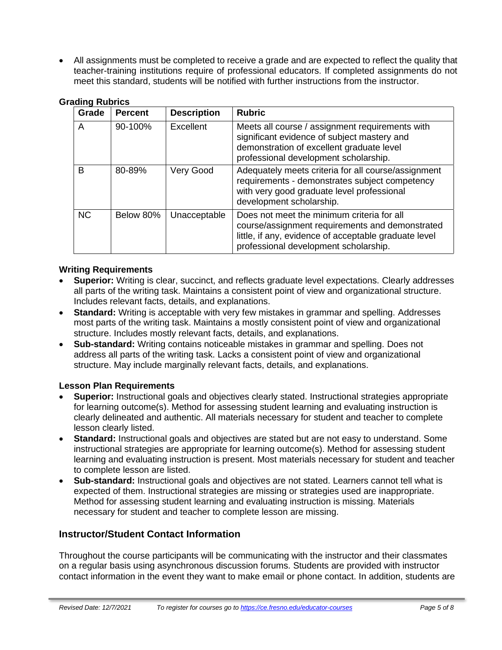• All assignments must be completed to receive a grade and are expected to reflect the quality that teacher-training institutions require of professional educators. If completed assignments do not meet this standard, students will be notified with further instructions from the instructor.

| Grade     | <b>Percent</b> | <b>Description</b> | <b>Rubric</b>                                                                                                                                                                                   |
|-----------|----------------|--------------------|-------------------------------------------------------------------------------------------------------------------------------------------------------------------------------------------------|
| A         | 90-100%        | Excellent          | Meets all course / assignment requirements with<br>significant evidence of subject mastery and<br>demonstration of excellent graduate level<br>professional development scholarship.            |
| В         | 80-89%         | Very Good          | Adequately meets criteria for all course/assignment<br>requirements - demonstrates subject competency<br>with very good graduate level professional<br>development scholarship.                 |
| <b>NC</b> | Below 80%      | Unacceptable       | Does not meet the minimum criteria for all<br>course/assignment requirements and demonstrated<br>little, if any, evidence of acceptable graduate level<br>professional development scholarship. |

#### **Grading Rubrics**

#### **Writing Requirements**

- **Superior:** Writing is clear, succinct, and reflects graduate level expectations. Clearly addresses all parts of the writing task. Maintains a consistent point of view and organizational structure. Includes relevant facts, details, and explanations.
- **Standard:** Writing is acceptable with very few mistakes in grammar and spelling. Addresses most parts of the writing task. Maintains a mostly consistent point of view and organizational structure. Includes mostly relevant facts, details, and explanations.
- **Sub-standard:** Writing contains noticeable mistakes in grammar and spelling. Does not address all parts of the writing task. Lacks a consistent point of view and organizational structure. May include marginally relevant facts, details, and explanations.

#### **Lesson Plan Requirements**

- **Superior:** Instructional goals and objectives clearly stated. Instructional strategies appropriate for learning outcome(s). Method for assessing student learning and evaluating instruction is clearly delineated and authentic. All materials necessary for student and teacher to complete lesson clearly listed.
- **Standard:** Instructional goals and objectives are stated but are not easy to understand. Some instructional strategies are appropriate for learning outcome(s). Method for assessing student learning and evaluating instruction is present. Most materials necessary for student and teacher to complete lesson are listed.
- **Sub-standard:** Instructional goals and objectives are not stated. Learners cannot tell what is expected of them. Instructional strategies are missing or strategies used are inappropriate. Method for assessing student learning and evaluating instruction is missing. Materials necessary for student and teacher to complete lesson are missing.

#### **Instructor/Student Contact Information**

Throughout the course participants will be communicating with the instructor and their classmates on a regular basis using asynchronous discussion forums. Students are provided with instructor contact information in the event they want to make email or phone contact. In addition, students are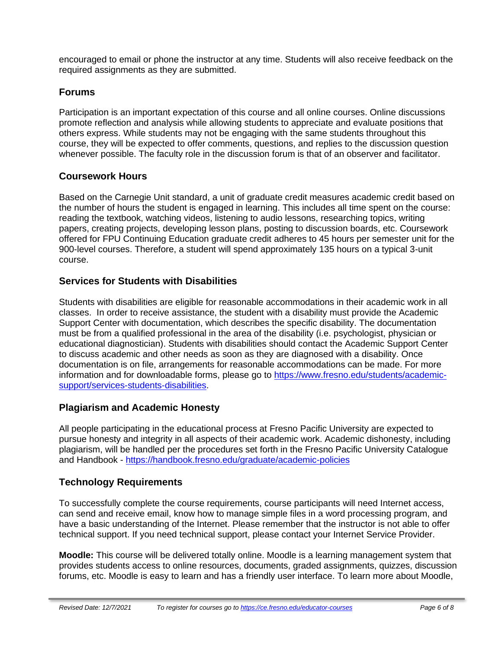encouraged to email or phone the instructor at any time. Students will also receive feedback on the required assignments as they are submitted.

#### **Forums**

Participation is an important expectation of this course and all online courses. Online discussions promote reflection and analysis while allowing students to appreciate and evaluate positions that others express. While students may not be engaging with the same students throughout this course, they will be expected to offer comments, questions, and replies to the discussion question whenever possible. The faculty role in the discussion forum is that of an observer and facilitator.

#### **Coursework Hours**

Based on the Carnegie Unit standard, a unit of graduate credit measures academic credit based on the number of hours the student is engaged in learning. This includes all time spent on the course: reading the textbook, watching videos, listening to audio lessons, researching topics, writing papers, creating projects, developing lesson plans, posting to discussion boards, etc. Coursework offered for FPU Continuing Education graduate credit adheres to 45 hours per semester unit for the 900-level courses. Therefore, a student will spend approximately 135 hours on a typical 3-unit course.

#### **Services for Students with Disabilities**

Students with disabilities are eligible for reasonable accommodations in their academic work in all classes. In order to receive assistance, the student with a disability must provide the Academic Support Center with documentation, which describes the specific disability. The documentation must be from a qualified professional in the area of the disability (i.e. psychologist, physician or educational diagnostician). Students with disabilities should contact the Academic Support Center to discuss academic and other needs as soon as they are diagnosed with a disability. Once documentation is on file, arrangements for reasonable accommodations can be made. For more information and for downloadable forms, please go to [https://www.fresno.edu/students/academic](https://www.fresno.edu/students/academic-support/services-students-disabilities)[support/services-students-disabilities.](https://www.fresno.edu/students/academic-support/services-students-disabilities)

#### **Plagiarism and Academic Honesty**

All people participating in the educational process at Fresno Pacific University are expected to pursue honesty and integrity in all aspects of their academic work. Academic dishonesty, including plagiarism, will be handled per the procedures set forth in the Fresno Pacific University Catalogue and Handbook - <https://handbook.fresno.edu/graduate/academic-policies>

#### **Technology Requirements**

To successfully complete the course requirements, course participants will need Internet access, can send and receive email, know how to manage simple files in a word processing program, and have a basic understanding of the Internet. Please remember that the instructor is not able to offer technical support. If you need technical support, please contact your Internet Service Provider.

**Moodle:** This course will be delivered totally online. Moodle is a learning management system that provides students access to online resources, documents, graded assignments, quizzes, discussion forums, etc. Moodle is easy to learn and has a friendly user interface. To learn more about Moodle,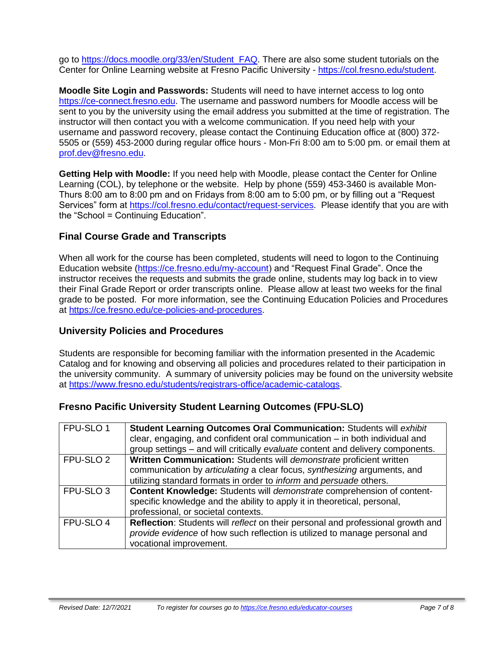go to [https://docs.moodle.org/33/en/Student\\_FAQ.](https://docs.moodle.org/33/en/Student_FAQ) There are also some student tutorials on the Center for Online Learning website at Fresno Pacific University - [https://col.fresno.edu/student.](https://col.fresno.edu/student)

**Moodle Site Login and Passwords:** Students will need to have internet access to log onto [https://ce-connect.fresno.edu.](https://ce-connect.fresno.edu/) The username and password numbers for Moodle access will be sent to you by the university using the email address you submitted at the time of registration. The instructor will then contact you with a welcome communication. If you need help with your username and password recovery, please contact the Continuing Education office at (800) 372- 5505 or (559) 453-2000 during regular office hours - Mon-Fri 8:00 am to 5:00 pm. or email them at [prof.dev@fresno.edu.](mailto:prof.dev@fresno.edu)

**Getting Help with Moodle:** If you need help with Moodle, please contact the Center for Online Learning (COL), by telephone or the website. Help by phone (559) 453-3460 is available Mon-Thurs 8:00 am to 8:00 pm and on Fridays from 8:00 am to 5:00 pm, or by filling out a "Request Services" form at [https://col.fresno.edu/contact/request-services.](https://col.fresno.edu/contact/request-services) Please identify that you are with the "School = Continuing Education".

# **Final Course Grade and Transcripts**

When all work for the course has been completed, students will need to logon to the Continuing Education website [\(https://ce.fresno.edu/my-account\)](https://ce.fresno.edu/my-account) and "Request Final Grade". Once the instructor receives the requests and submits the grade online, students may log back in to view their Final Grade Report or order transcripts online. Please allow at least two weeks for the final grade to be posted. For more information, see the Continuing Education Policies and Procedures at [https://ce.fresno.edu/ce-policies-and-procedures.](https://ce.fresno.edu/ce-policies-and-procedures)

#### **University Policies and Procedures**

Students are responsible for becoming familiar with the information presented in the Academic Catalog and for knowing and observing all policies and procedures related to their participation in the university community. A summary of university policies may be found on the university website at [https://www.fresno.edu/students/registrars-office/academic-catalogs.](https://www.fresno.edu/students/registrars-office/academic-catalogs)

#### **Fresno Pacific University Student Learning Outcomes (FPU-SLO)**

| FPU-SLO 1            | Student Learning Outcomes Oral Communication: Students will exhibit              |
|----------------------|----------------------------------------------------------------------------------|
|                      | clear, engaging, and confident oral communication $-$ in both individual and     |
|                      | group settings – and will critically evaluate content and delivery components.   |
| FPU-SLO <sub>2</sub> | Written Communication: Students will demonstrate proficient written              |
|                      | communication by articulating a clear focus, synthesizing arguments, and         |
|                      | utilizing standard formats in order to <i>inform</i> and <i>persuade</i> others. |
| FPU-SLO <sub>3</sub> | Content Knowledge: Students will demonstrate comprehension of content-           |
|                      | specific knowledge and the ability to apply it in theoretical, personal,         |
|                      | professional, or societal contexts.                                              |
| FPU-SLO 4            | Reflection: Students will reflect on their personal and professional growth and  |
|                      | provide evidence of how such reflection is utilized to manage personal and       |
|                      | vocational improvement.                                                          |